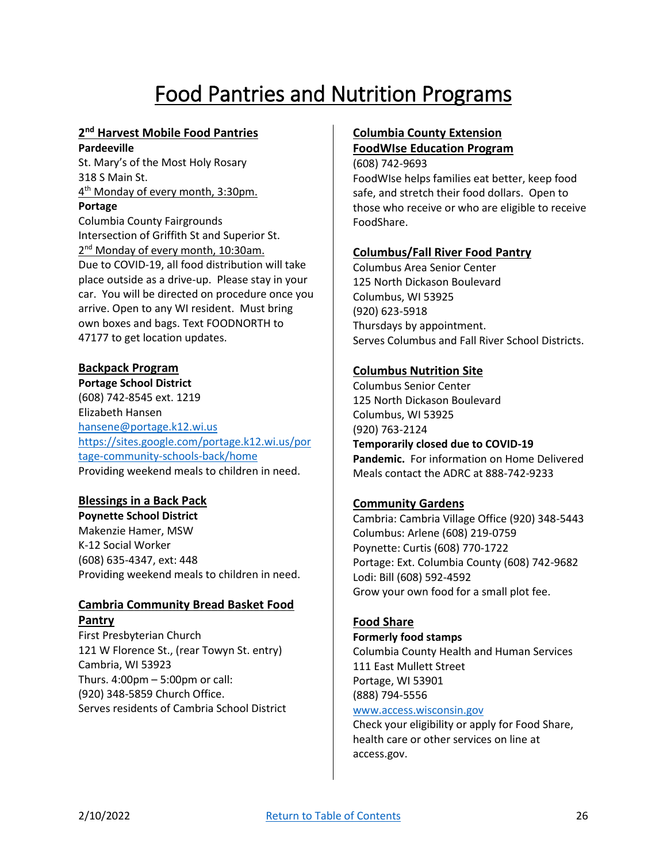# Food Pantries and Nutrition Programs

## **2 nd Harvest Mobile Food Pantries**

**Pardeeville**

St. Mary's of the Most Holy Rosary 318 S Main St. 4<sup>th</sup> Monday of every month, 3:30pm.

## **Portage**

Columbia County Fairgrounds Intersection of Griffith St and Superior St. 2<sup>nd</sup> Monday of every month, 10:30am. Due to COVID-19, all food distribution will take place outside as a drive-up. Please stay in your car. You will be directed on procedure once you arrive. Open to any WI resident. Must bring own boxes and bags. Text FOODNORTH to 47177 to get location updates.

## **Backpack Program**

**Portage School District** (608) 742-8545 ext. 1219 Elizabeth Hansen [hansene@portage.k12.wi.us](mailto:hansene@portage.k12.wi.us) [https://sites.google.com/portage.k12.wi.us/por](https://sites.google.com/portage.k12.wi.us/portage-community-schools-back/home) [tage-community-schools-back/home](https://sites.google.com/portage.k12.wi.us/portage-community-schools-back/home) Providing weekend meals to children in need.

## **Blessings in a Back Pack**

**Poynette School District** Makenzie Hamer, MSW K-12 Social Worker (608) 635-4347, ext: 448 Providing weekend meals to children in need.

## **Cambria Community Bread Basket Food Pantry**

First Presbyterian Church 121 W Florence St., (rear Towyn St. entry) Cambria, WI 53923 Thurs. 4:00pm – 5:00pm or call: (920) 348-5859 Church Office. Serves residents of Cambria School District

## **Columbia County Extension FoodWIse Education Program**

FoodShare.

(608) 742-9693 FoodWIse helps families eat better, keep food safe, and stretch their food dollars. Open to those who receive or who are eligible to receive

## **Columbus/Fall River Food Pantry**

Columbus Area Senior Center 125 North Dickason Boulevard Columbus, WI 53925 (920) 623-5918 Thursdays by appointment. Serves Columbus and Fall River School Districts.

## **Columbus Nutrition Site**

Columbus Senior Center 125 North Dickason Boulevard Columbus, WI 53925 (920) 763-2124 **Temporarily closed due to COVID-19 Pandemic.** For information on Home Delivered Meals contact the ADRC at 888-742-9233

## **Community Gardens**

Cambria: Cambria Village Office (920) 348-5443 Columbus: Arlene (608) 219-0759 Poynette: Curtis (608) 770-1722 Portage: Ext. Columbia County (608) 742-9682 Lodi: Bill (608) 592-4592 Grow your own food for a small plot fee.

## **Food Share**

#### **Formerly food stamps**

Columbia County Health and Human Services 111 East Mullett Street Portage, WI 53901 (888) 794-5556 [www.access.wisconsin.gov](http://www.access.wisconsin.gov/)

Check your eligibility or apply for Food Share, health care or other services on line at access.gov.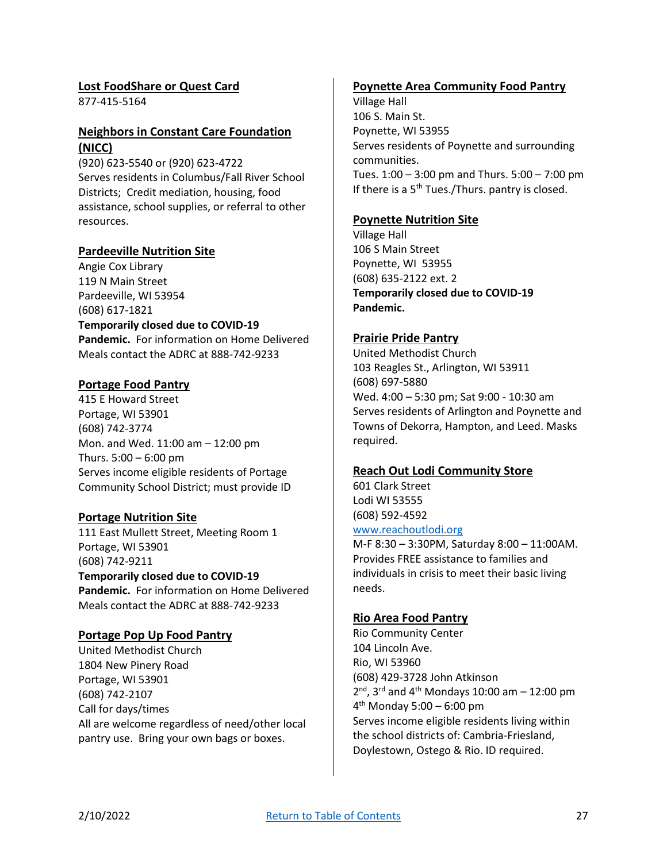## **Lost FoodShare or Quest Card**

877-415-5164

## **Neighbors in Constant Care Foundation (NICC)**

(920) 623-5540 or (920) 623-4722 Serves residents in Columbus/Fall River School Districts; Credit mediation, housing, food assistance, school supplies, or referral to other resources.

#### **Pardeeville Nutrition Site**

Angie Cox Library 119 N Main Street Pardeeville, WI 53954 (608) 617-1821

#### **Temporarily closed due to COVID-19 Pandemic.** For information on Home Delivered

Meals contact the ADRC at 888-742-9233

## **Portage Food Pantry**

415 E Howard Street Portage, WI 53901 (608) 742-3774 Mon. and Wed. 11:00 am – 12:00 pm Thurs.  $5:00 - 6:00$  pm Serves income eligible residents of Portage Community School District; must provide ID

## **Portage Nutrition Site**

111 East Mullett Street, Meeting Room 1 Portage, WI 53901 (608) 742-9211 **Temporarily closed due to COVID-19 Pandemic.** For information on Home Delivered Meals contact the ADRC at 888-742-9233

## **Portage Pop Up Food Pantry**

United Methodist Church 1804 New Pinery Road Portage, WI 53901 (608) 742-2107 Call for days/times All are welcome regardless of need/other local pantry use. Bring your own bags or boxes.

#### **Poynette Area Community Food Pantry**

Village Hall 106 S. Main St. Poynette, WI 53955 Serves residents of Poynette and surrounding communities. Tues. 1:00 – 3:00 pm and Thurs. 5:00 – 7:00 pm If there is a  $5<sup>th</sup>$  Tues./Thurs. pantry is closed.

#### **Poynette Nutrition Site**

Village Hall 106 S Main Street Poynette, WI 53955 (608) 635-2122 ext. 2 **Temporarily closed due to COVID-19 Pandemic.** 

#### **Prairie Pride Pantry**

United Methodist Church 103 Reagles St., Arlington, WI 53911 (608) 697-5880 Wed. 4:00 – 5:30 pm; Sat 9:00 - 10:30 am Serves residents of Arlington and Poynette and Towns of Dekorra, Hampton, and Leed. Masks required.

#### **Reach Out Lodi Community Store**

601 Clark Street Lodi WI 53555 (608) 592-4592 [www.reachoutlodi.org](http://www.reachoutlodi.org/)

M-F 8:30 – 3:30PM, Saturday 8:00 – 11:00AM. Provides FREE assistance to families and individuals in crisis to meet their basic living needs.

#### **Rio Area Food Pantry**

Rio Community Center 104 Lincoln Ave. Rio, WI 53960 (608) 429-3728 John Atkinson  $2<sup>nd</sup>$ , 3<sup>rd</sup> and 4<sup>th</sup> Mondays 10:00 am – 12:00 pm 4 th Monday 5:00 – 6:00 pm Serves income eligible residents living within the school districts of: Cambria-Friesland, Doylestown, Ostego & Rio. ID required.